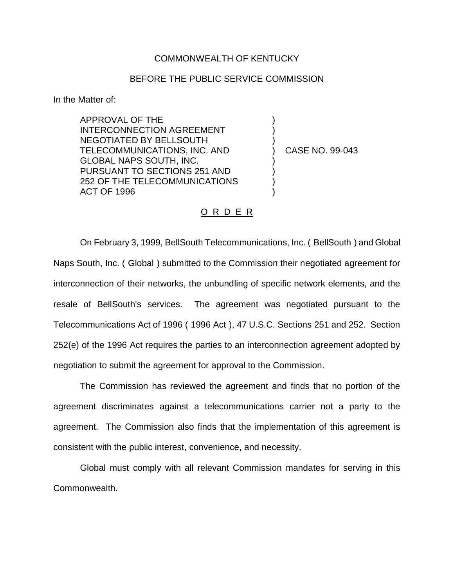## COMMONWEALTH OF KENTUCKY

## BEFORE THE PUBLIC SERVICE COMMISSION

In the Matter of:

APPROVAL OF THE INTERCONNECTION AGREEMENT NEGOTIATED BY BELLSOUTH TELECOMMUNICATIONS, INC. AND GLOBAL NAPS SOUTH, INC. PURSUANT TO SECTIONS 251 AND 252 OF THE TELECOMMUNICATIONS ACT OF 1996

) CASE NO. 99-043

) ) )

) ) ) )

## O R D E R

On February 3, 1999, BellSouth Telecommunications, Inc. ( BellSouth ) and Global Naps South, Inc. ( Global ) submitted to the Commission their negotiated agreement for interconnection of their networks, the unbundling of specific network elements, and the resale of BellSouth's services. The agreement was negotiated pursuant to the Telecommunications Act of 1996 ( 1996 Act ), 47 U.S.C. Sections 251 and 252. Section 252(e) of the 1996 Act requires the parties to an interconnection agreement adopted by negotiation to submit the agreement for approval to the Commission.

The Commission has reviewed the agreement and finds that no portion of the agreement discriminates against a telecommunications carrier not a party to the agreement. The Commission also finds that the implementation of this agreement is consistent with the public interest, convenience, and necessity.

Global must comply with all relevant Commission mandates for serving in this Commonwealth.